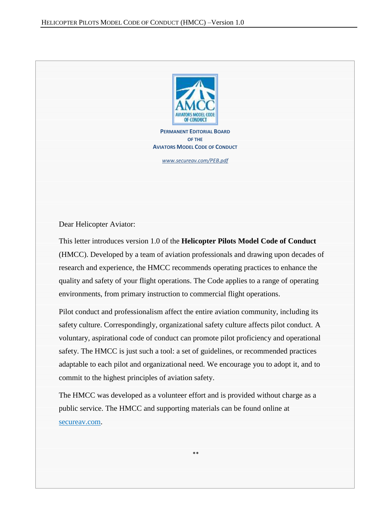

**PERMANENT EDITORIAL BOARD OF THE AVIATORS MODEL CODE OF CONDUCT**

*[www.secureav.com/PEB.pdf](http://www.secureav.com/PEB.pdf)*

Dear Helicopter Aviator:

This letter introduces version 1.0 of the **Helicopter Pilots Model Code of Conduct** (HMCC). Developed by a team of aviation professionals and drawing upon decades of research and experience, the HMCC recommends operating practices to enhance the quality and safety of your flight operations. The Code applies to a range of operating environments, from primary instruction to commercial flight operations.

Pilot conduct and professionalism affect the entire aviation community, including its safety culture. Correspondingly, organizational safety culture affects pilot conduct. A voluntary, aspirational code of conduct can promote pilot proficiency and operational safety. The HMCC is just such a tool: a set of guidelines, or recommended practices adaptable to each pilot and organizational need. We encourage you to adopt it, and to commit to the highest principles of aviation safety.

The HMCC was developed as a volunteer effort and is provided without charge as a public service. The HMCC and supporting materials can be found online at [secureav.com.](http://www.secureav.com/)

\*\*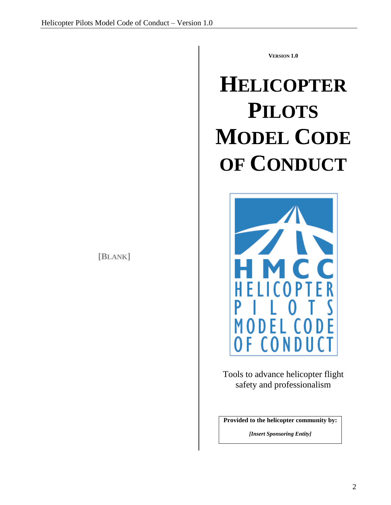**[BLANK]**

**VERSION 1.0**

# **HELICOPTER PILOTS MODEL CODE OF CONDUCT**



Tools to advance helicopter flight safety and professionalism

**Provided to the helicopter community by:**

*[Insert Sponsoring Entity]*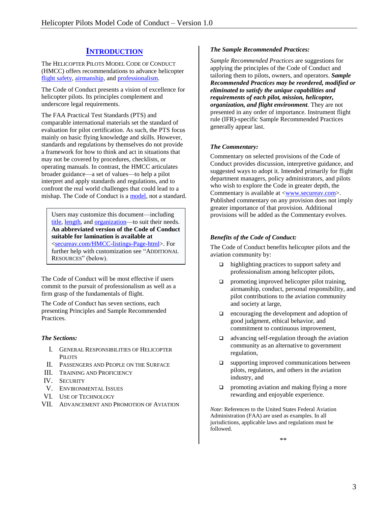# **I[NTRODUCTION](http://www.secureav.com/Comment-AMCC-Introduction.pdf)**

The HELICOPTER PILOTS MODEL CODE OF CONDUCT (HMCC) offers recommendations to advance helicopter [flight safety,](http://www.secureav.com/Comment-AMCC-I.a-General-Responsibilities.pdf) [airmanship,](http://www.secureav.com/Comment-AMCC-I.b-General-Responsibilities.pdf) and [professionalism.](http://www.secureav.com/Comment-AMCC-I.f-General-Responsibilities.pdf)

The Code of Conduct presents a vision of excellence for helicopter pilots. Its principles complement and underscore legal requirements.

The FAA Practical Test Standards (PTS) and comparable international materials set the standard of evaluation for pilot certification. As such, the PTS focus mainly on basic flying knowledge and skills. However, standards and regulations by themselves do not provide a framework for how to think and act in situations that may not be covered by procedures, checklists, or operating manuals. In contrast, the HMCC articulates broader guidance—a set of values—to help a pilot interpret and apply standards and regulations, and to confront the real world challenges that could lead to a mishap. The Code of Conduct is [a model,](http://secureav.com/Comment-AMCC-General.pdf) not a standard.

Users may customize this document—including [title,](http://secureav.com/Comment-AMCC-Title.pdf) [length,](http://secureav.com/Comment-AMCC-General.pdf) and [organization—](http://secureav.com/Comment-AMCC-General.pdf)to suit their needs. **An abbreviated version of the Code of Conduct suitable for lamination is available at** [<secureav.com/HMCC-listings-Page-html>](http://www.secureav.com/HMCC-Listings-Page.html). For further help with customization see "ADDITIONAL RESOURCES" (below).

The Code of Conduct will be most effective if users commit to the pursuit of professionalism as well as a firm grasp of the fundamentals of flight.

The Code of Conduct has seven sections, each presenting Principles and Sample Recommended Practices.

### *The Sections:*

- I. GENERAL RESPONSIBILITIES OF HELICOPTER P<sub>II</sub> OTS
- II. PASSENGERS AND PEOPLE ON THE SURFACE
- III. TRAINING AND PROFICIENCY
- IV. SECURITY
- V. ENVIRONMENTAL ISSUES
- VI. USE OF TECHNOLOGY
- VII. ADVANCEMENT AND PROMOTION OF AVIATION

#### *The Sample Recommended Practices:*

*Sample Recommended Practices* are suggestions for applying the principles of the Code of Conduct and tailoring them to pilots, owners, and operators. *Sample Recommended Practices may be reordered, modified or eliminated to satisfy the unique capabilities and requirements of each pilot, mission, helicopter, organization, and flight environment.* They are not presented in any order of importance. Instrument flight rule (IFR)-specific Sample Recommended Practices generally appear last.

### *The Commentary:*

Commentary on selected provisions of the Code of Conduct provides discussion, interpretive guidance, and suggested ways to adopt it. Intended primarily for flight department managers, policy administrators, and pilots who wish to explore the Code in greater depth, the Commentary is available at [<www.secureav.com>](http://www.secureav.com/). Published commentary on any provision does not imply greater importance of that provision. Additional provisions will be added as the Commentary evolves.

#### *Benefits of the Code of Conduct:*

The Code of Conduct benefits helicopter pilots and the aviation community by:

- $\Box$  highlighting practices to support safety and professionalism among helicopter pilots,
- $\Box$  promoting improved helicopter pilot training, airmanship, conduct, personal responsibility, and pilot contributions to the aviation community and society at large,
- $\Box$  encouraging the development and adoption of good judgment, ethical behavior, and commitment to continuous improvement,
- $\Box$  advancing self-regulation through the aviation community as an alternative to government regulation,
- $\square$  supporting improved communications between pilots, regulators, and others in the aviation industry, and
- $\Box$  promoting aviation and making flying a more rewarding and enjoyable experience.

*Note*: References to the United States Federal Aviation Administration (FAA) are used as examples. In all jurisdictions, applicable laws and regulations must be followed.

\*\*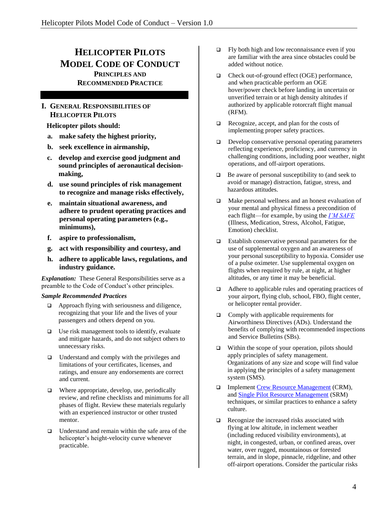# **HELICOPTER PILOTS MODEL CODE OF CONDUCT PRINCIPLES AND RECOMMENDED PRACTICE**

# **I. GENERAL RESPONSIBILITIES OF HELICOPTER PILOTS**

 **Helicopter pilots should:**

- **a. make safety the highest priority,**
- **b. seek excellence in airmanship,**
- **c. develop and exercise good judgment and sound principles of aeronautical decisionmaking,**
- **d. use sound principles of risk management to recognize and manage risks effectively,**
- **e. maintain situational awareness, and adhere to prudent operating practices and personal operating parameters (e.g., minimums),**
- **f. aspire to professionalism,**
- **g. act with responsibility and courtesy, and**
- **h. adhere to applicable laws, regulations, and industry guidance.**

*Explanation:* These General Responsibilities serve as a preamble to the Code of Conduct's other principles.

- $\Box$  Approach flying with seriousness and diligence, recognizing that your life and the lives of your passengers and others depend on you.
- $\Box$  Use risk management tools to identify, evaluate and mitigate hazards, and do not subject others to unnecessary risks.
- $\Box$  Understand and comply with the privileges and limitations of your certificates, licenses, and ratings, and ensure any endorsements are correct and current.
- $\Box$  Where appropriate, develop, use, periodically review, and refine checklists and minimums for all phases of flight. Review these materials regularly with an experienced instructor or other trusted mentor.
- $\Box$  Understand and remain within the safe area of the helicopter's height-velocity curve whenever practicable.
- $\Box$  Fly both high and low reconnaissance even if you are familiar with the area since obstacles could be added without notice.
- □ Check out-of-ground effect (OGE) performance, and when practicable perform an OGE hover/power check before landing in uncertain or unverified terrain or at high density altitudes if authorized by applicable rotorcraft flight manual (RFM).
- $\Box$  Recognize, accept, and plan for the costs of implementing proper safety practices.
- Develop conservative personal operating parameters reflecting experience, proficiency, and currency in challenging conditions, including poor weather, night operations, and off-airport operations.
- $\Box$  Be aware of personal susceptibility to (and seek to avoid or manage) distraction, fatigue, stress, and hazardous attitudes.
- Make personal wellness and an honest evaluation of your mental and physical fitness a precondition of each flight—for example, by using the *[I'M SAFE](http://www.faa.gov/air_traffic/publications/atpubs/aim/aim0801.html)* (Illness, Medication, Stress, Alcohol, Fatigue, Emotion) checklist.
- □ Establish conservative personal parameters for the use of supplemental oxygen and an awareness of your personal susceptibility to hypoxia. Consider use of a pulse oximeter. Use supplemental oxygen on flights when required by rule, at night, at higher altitudes, or any time it may be beneficial.
- □ Adhere to applicable rules and operating practices of your airport, flying club, school, FBO, flight center, or helicopter rental provider.
- $\Box$  Comply with applicable requirements for Airworthiness Directives (ADs). Understand the benefits of complying with recommended inspections and Service Bulletins (SBs).
- $\Box$  Within the scope of your operation, pilots should apply principles of safety management. Organizations of any size and scope will find value in applying the principles of a safety management system (SMS).
- □ Implement [Crew Resource Management](http://www.faa.gov/regulations_policies/handbooks_manuals/aviation/pilot_handbook/media/PHAK%20-%20Chapter%2017.pdf) (CRM), and [Single Pilot Resource Management](http://www.faa.gov/regulations_policies/handbooks_manuals/aviation/pilot_handbook/media/PHAK%20-%20Chapter%2017.pdf) (SRM) techniques, or similar practices to enhance a safety culture.
- $\Box$  Recognize the increased risks associated with flying at low altitude, in inclement weather (including reduced visibility environments), at night, in congested, urban, or confined areas, over water, over rugged, mountainous or forested terrain, and in slope, pinnacle, ridgeline, and other off-airport operations. Consider the particular risks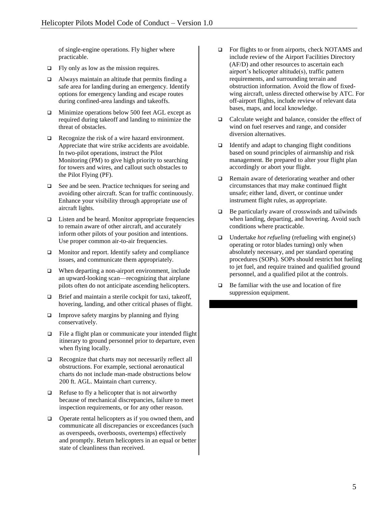of single-engine operations. Fly higher where practicable.

- $\Box$  Fly only as low as the mission requires.
- $\Box$  Always maintain an altitude that permits finding a safe area for landing during an emergency. Identify options for emergency landing and escape routes during confined-area landings and takeoffs.
- □ Minimize operations below 500 feet AGL except as required during takeoff and landing to minimize the threat of obstacles.
- $\Box$  Recognize the risk of a wire hazard environment. Appreciate that wire strike accidents are avoidable. In two-pilot operations, instruct the Pilot Monitoring (PM) to give high priority to searching for towers and wires, and callout such obstacles to the Pilot Flying (PF).
- □ See and be seen. Practice techniques for seeing and avoiding other aircraft. Scan for traffic continuously. Enhance your visibility through appropriate use of aircraft lights.
- $\Box$  Listen and be heard. Monitor appropriate frequencies to remain aware of other aircraft, and accurately inform other pilots of your position and intentions. Use proper common air-to-air frequencies.
- □ Monitor and report. Identify safety and compliance issues, and communicate them appropriately.
- When departing a non-airport environment, include an upward-looking scan—recognizing that airplane pilots often do not anticipate ascending helicopters.
- □ Brief and maintain a sterile cockpit for taxi, takeoff, hovering, landing, and other critical phases of flight.
- $\Box$  Improve safety margins by planning and flying conservatively.
- $\Box$  File a flight plan or communicate your intended flight itinerary to ground personnel prior to departure, even when flying locally.
- Recognize that charts may not necessarily reflect all obstructions. For example, sectional aeronautical charts do not include man-made obstructions below 200 ft. AGL. Maintain chart currency.
- $\Box$  Refuse to fly a helicopter that is not airworthy because of mechanical discrepancies, failure to meet inspection requirements, or for any other reason.
- □ Operate rental helicopters as if you owned them, and communicate all discrepancies or exceedances (such as overspeeds, overboosts, overtemps) effectively and promptly. Return helicopters in an equal or better state of cleanliness than received.
- □ For flights to or from airports, check NOTAMS and include review of the Airport Facilities Directory (AF/D) and other resources to ascertain each airport's helicopter altitude(s), traffic pattern requirements, and surrounding terrain and obstruction information. Avoid the flow of fixedwing aircraft, unless directed otherwise by ATC. For off-airport flights, include review of relevant data bases, maps, and local knowledge.
- Calculate weight and balance, consider the effect of wind on fuel reserves and range, and consider diversion alternatives.
- $\Box$  Identify and adapt to changing flight conditions based on sound principles of airmanship and risk management. Be prepared to alter your flight plan accordingly or abort your flight.
- Remain aware of deteriorating weather and other circumstances that may make continued flight unsafe; either land, divert, or continue under instrument flight rules, as appropriate.
- $\Box$  Be particularly aware of crosswinds and tailwinds when landing, departing, and hovering. Avoid such conditions where practicable.
- □ Undertake *hot refueling* (refueling with engine(s) operating or rotor blades turning) only when absolutely necessary, and per standard operating procedures (SOPs). SOPs should restrict hot fueling to jet fuel, and require trained and qualified ground personnel, and a qualified pilot at the controls.
- $\Box$  Be familiar with the use and location of fire suppression equipment.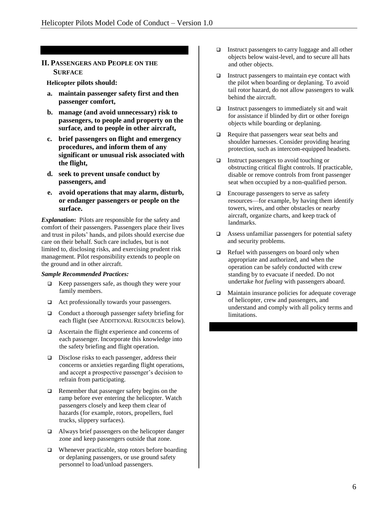# **II. PASSENGERS AND PEOPLE ON THE SURFACE**

 **Helicopter pilots should:**

- **a. maintain passenger safety first and then passenger comfort,**
- **b. manage (and avoid unnecessary) risk to passengers, to people and property on the surface, and to people in other aircraft,**
- **c. brief passengers on flight and emergency procedures, and inform them of any significant or unusual risk associated with the flight,**
- **d. seek to prevent unsafe conduct by passengers, and**
- **e. avoid operations that may alarm, disturb, or endanger passengers or people on the surface.**

*Explanation***:** Pilots are responsible for the safety and comfort of their passengers. Passengers place their lives and trust in pilots' hands, and pilots should exercise due care on their behalf. Such care includes, but is not limited to, disclosing risks, and exercising prudent risk management. Pilot responsibility extends to people on the ground and in other aircraft.

- $\Box$  Keep passengers safe, as though they were your family members.
- □ Act professionally towards your passengers.
- □ Conduct a thorough passenger safety briefing for each flight (see ADDITIONAL RESOURCES below).
- Ascertain the flight experience and concerns of each passenger. Incorporate this knowledge into the safety briefing and flight operation.
- $\Box$  Disclose risks to each passenger, address their concerns or anxieties regarding flight operations, and accept a prospective passenger's decision to refrain from participating.
- **Q** Remember that passenger safety begins on the ramp before ever entering the helicopter. Watch passengers closely and keep them clear of hazards (for example, rotors, propellers, fuel trucks, slippery surfaces).
- Always brief passengers on the helicopter danger zone and keep passengers outside that zone.
- $\Box$  Whenever practicable, stop rotors before boarding or deplaning passengers, or use ground safety personnel to load/unload passengers.
- □ Instruct passengers to carry luggage and all other objects below waist-level, and to secure all hats and other objects.
- $\Box$  Instruct passengers to maintain eye contact with the pilot when boarding or deplaning. To avoid tail rotor hazard, do not allow passengers to walk behind the aircraft.
- $\Box$  Instruct passengers to immediately sit and wait for assistance if blinded by dirt or other foreign objects while boarding or deplaning.
- $\Box$  Require that passengers wear seat belts and shoulder harnesses. Consider providing hearing protection, such as intercom-equipped headsets.
- $\Box$  Instruct passengers to avoid touching or obstructing critical flight controls. If practicable, disable or remove controls from front passenger seat when occupied by a non-qualified person.
- □ Encourage passengers to serve as safety resources—for example, by having them identify towers, wires, and other obstacles or nearby aircraft, organize charts, and keep track of landmarks.
- $\Box$  Assess unfamiliar passengers for potential safety and security problems.
- $\Box$  Refuel with passengers on board only when appropriate and authorized, and when the operation can be safely conducted with crew standing by to evacuate if needed. Do not undertake *hot fueling* with passengers aboard.
- Maintain insurance policies for adequate coverage of helicopter, crew and passengers, and understand and comply with all policy terms and limitations.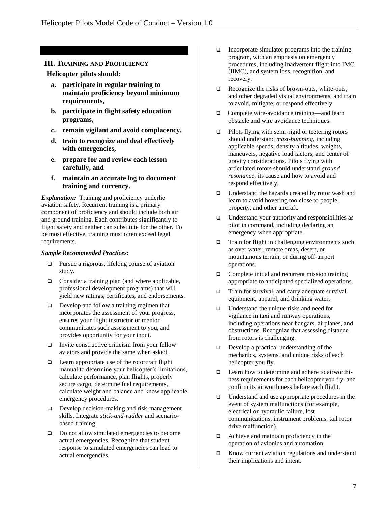# **III. TRAINING AND PROFICIENCY**

### **Helicopter pilots should:**

- **a. participate in regular training to maintain proficiency beyond minimum requirements,**
- **b. participate in flight safety education programs,**
- **c. remain vigilant and avoid complacency,**
- **d. train to recognize and deal effectively with emergencies,**
- **e. prepare for and review each lesson carefully, and**
- **f. maintain an accurate log to document training and currency.**

*Explanation:* Training and proficiency underlie aviation safety. Recurrent training is a primary component of proficiency and should include both air and ground training. Each contributes significantly to flight safety and neither can substitute for the other. To be most effective, training must often exceed legal requirements.

- $\Box$  Pursue a rigorous, lifelong course of aviation study.
- $\Box$  Consider a training plan (and where applicable, professional development programs) that will yield new ratings, certificates, and endorsements.
- Develop and follow a training regimen that incorporates the assessment of your progress, ensures your flight instructor or mentor communicates such assessment to you, and provides opportunity for your input.
- $\Box$  Invite constructive criticism from your fellow aviators and provide the same when asked.
- $\Box$  Learn appropriate use of the rotorcraft flight manual to determine your helicopter's limitations, calculate performance, plan flights, properly secure cargo, determine fuel requirements, calculate weight and balance and know applicable emergency procedures.
- $\Box$  Develop decision-making and risk-management skills. Integrate *stick-and-rudder* and scenariobased training.
- Do not allow simulated emergencies to become actual emergencies. Recognize that student response to simulated emergencies can lead to actual emergencies.
- $\Box$  Incorporate simulator programs into the training program, with an emphasis on emergency procedures, including inadvertent flight into IMC (IIMC), and system loss, recognition, and recovery.
- $\Box$  Recognize the risks of brown-outs, white-outs, and other degraded visual environments, and train to avoid, mitigate, or respond effectively.
- □ Complete wire-avoidance training—and learn obstacle and wire avoidance techniques.
- $\Box$  Pilots flying with semi-rigid or teetering rotors should understand *mast-bumping*, including applicable speeds, density altitudes, weights, maneuvers, negative load factors, and center of gravity considerations. Pilots flying with articulated rotors should understand *ground resonance*, its cause and how to avoid and respond effectively.
- Understand the hazards created by rotor wash and learn to avoid hovering too close to people, property, and other aircraft.
- $\Box$  Understand your authority and responsibilities as pilot in command, including declaring an emergency when appropriate.
- □ Train for flight in challenging environments such as over water, remote areas, desert, or mountainous terrain, or during off-airport operations.
- $\Box$  Complete initial and recurrent mission training appropriate to anticipated specialized operations.
- □ Train for survival, and carry adequate survival equipment, apparel, and drinking water.
- □ Understand the unique risks and need for vigilance in taxi and runway operations, including operations near hangars, airplanes, and obstructions. Recognize that assessing distance from rotors is challenging.
- $\Box$  Develop a practical understanding of the mechanics, systems, and unique risks of each helicopter you fly.
- □ Learn how to determine and adhere to airworthiness requirements for each helicopter you fly, and confirm its airworthiness before each flight.
- $\Box$  Understand and use appropriate procedures in the event of system malfunctions (for example, electrical or hydraulic failure, lost communications, instrument problems, tail rotor drive malfunction).
- □ Achieve and maintain proficiency in the operation of avionics and automation.
- $\Box$  Know current aviation regulations and understand their implications and intent.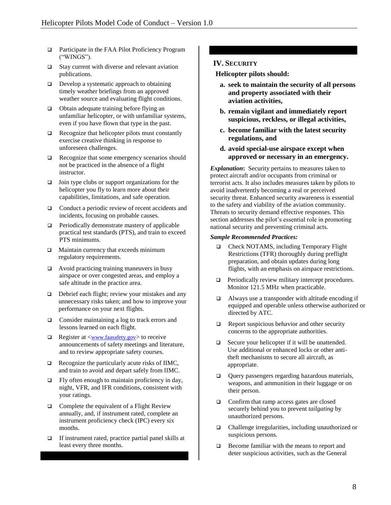- □ Participate in the FAA Pilot Proficiency Program ("WINGS").
- $\square$  Stay current with diverse and relevant aviation publications.
- $\Box$  Develop a systematic approach to obtaining timely weather briefings from an approved weather source and evaluating flight conditions.
- □ Obtain adequate training before flying an unfamiliar helicopter, or with unfamiliar systems, even if you have flown that type in the past.
- Recognize that helicopter pilots must constantly exercise creative thinking in response to unforeseen challenges.
- Recognize that some emergency scenarios should not be practiced in the absence of a flight instructor.
- $\Box$  Join type clubs or support organizations for the helicopter you fly to learn more about their capabilities, limitations, and safe operation.
- □ Conduct a periodic review of recent accidents and incidents, focusing on probable causes.
- $\Box$  Periodically demonstrate mastery of applicable practical test standards (PTS), and train to exceed PTS minimums.
- **I** Maintain currency that exceeds minimum regulatory requirements.
- $\Box$  Avoid practicing training maneuvers in busy airspace or over congested areas, and employ a safe altitude in the practice area.
- Debrief each flight; review your mistakes and any unnecessary risks taken; and how to improve your performance on your next flights.
- □ Consider maintaining a log to track errors and lessons learned on each flight.
- $\Box$  Register at  $\langle$ [www.faasafety.gov](http://www.faasafety.gov/)> to receive announcements of safety meetings and literature, and to review appropriate safety courses.
- $\Box$  Recognize the particularly acute risks of IIMC, and train to avoid and depart safely from IIMC.
- $\Box$  Fly often enough to maintain proficiency in day, night, VFR, and IFR conditions, consistent with your ratings.
- $\Box$  Complete the equivalent of a Flight Review annually, and, if instrument rated, complete an instrument proficiency check (IPC) every six months.
- If instrument rated, practice partial panel skills at least every three months.

# **IV. SECURITY**

 **Helicopter pilots should:**

- **a. seek to maintain the security of all persons and property associated with their aviation activities,**
- **b. remain vigilant and immediately report suspicious, reckless, or illegal activities,**
- **c. become familiar with the latest security regulations, and**
- **d. avoid special-use airspace except when approved or necessary in an emergency.**

*Explanation***:** Security pertains to measures taken to protect aircraft and/or occupants from criminal or terrorist acts. It also includes measures taken by pilots to avoid inadvertently becoming a real or perceived security threat. Enhanced security awareness is essential to the safety and viability of the aviation community. Threats to security demand effective responses. This section addresses the pilot's essential role in promoting national security and preventing criminal acts.

- Check NOTAMS, including Temporary Flight Restrictions (TFR) thoroughly during preflight preparation, and obtain updates during long flights, with an emphasis on airspace restrictions.
- **Periodically review military intercept procedures.** Monitor 121.5 MHz when practicable.
- Always use a transponder with altitude encoding if equipped and operable unless otherwise authorized or directed by ATC.
- $\Box$  Report suspicious behavior and other security concerns to the appropriate authorities.
- $\Box$  Secure your helicopter if it will be unattended. Use additional or enhanced locks or other antitheft mechanisms to secure all aircraft, as appropriate.
- Query passengers regarding hazardous materials, weapons, and ammunition in their luggage or on their person.
- □ Confirm that ramp access gates are closed securely behind you to prevent *tailgating* by unauthorized persons.
- Challenge irregularities, including unauthorized or suspicious persons.
- **Become familiar with the means to report and** deter suspicious activities, such as the General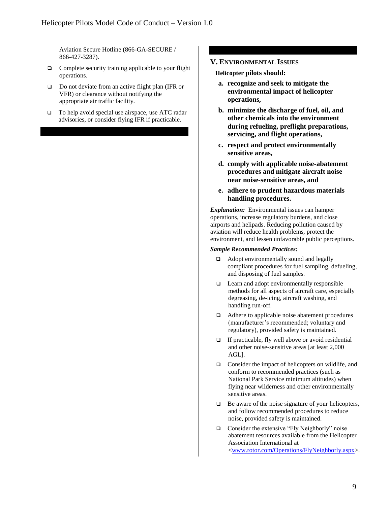Aviation Secure Hotline (866-GA-SECURE / 866-427-3287).

- □ Complete security training applicable to your flight operations.
- □ Do not deviate from an active flight plan (IFR or VFR) or clearance without notifying the appropriate air traffic facility.
- □ To help avoid special use airspace, use ATC radar advisories, or consider flying IFR if practicable.

#### **V. ENVIRONMENTAL ISSUES**

 **Helicopter pilots should:**

- **a. recognize and seek to mitigate the environmental impact of helicopter operations,**
- **b. minimize the discharge of fuel, oil, and other chemicals into the environment during refueling, preflight preparations, servicing, and flight operations,**
- **c. respect and protect environmentally sensitive areas,**
- **d. comply with applicable noise-abatement procedures and mitigate aircraft noise near noise-sensitive areas, and**
- **e. adhere to prudent hazardous materials handling procedures.**

*Explanation:*Environmental issues can hamper operations, increase regulatory burdens, and close airports and helipads. Reducing pollution caused by aviation will reduce health problems, protect the environment, and lessen unfavorable public perceptions.

- Adopt environmentally sound and legally compliant procedures for fuel sampling, defueling, and disposing of fuel samples.
- □ Learn and adopt environmentally responsible methods for all aspects of aircraft care, especially degreasing, de-icing, aircraft washing, and handling run-off.
- Adhere to applicable noise abatement procedures (manufacturer's recommended; voluntary and regulatory), provided safety is maintained.
- $\Box$  If practicable, fly well above or avoid residential and other noise-sensitive areas [at least 2,000 AGL].
- □ Consider the impact of helicopters on wildlife, and conform to recommended practices (such as National Park Service minimum altitudes) when flying near wilderness and other environmentally sensitive areas.
- $\Box$  Be aware of the noise signature of your helicopters, and follow recommended procedures to reduce noise, provided safety is maintained.
- □ Consider the extensive "Fly Neighborly" noise abatement resources available from the Helicopter Association International at [<www.rotor.com/Operations/FlyNeighborly.aspx>](http://www.rotor.com/Operations/FlyNeighborly.aspx).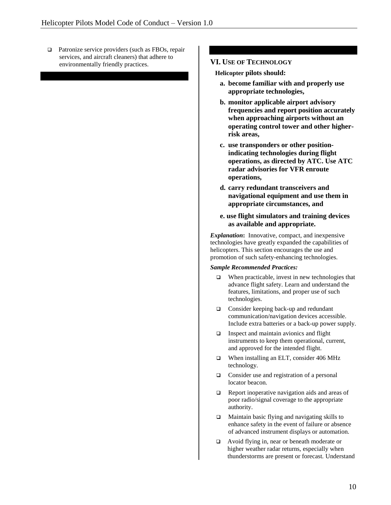□ Patronize service providers (such as FBOs, repair services, and aircraft cleaners) that adhere to environmentally friendly practices. **VI.** USE OF **TECHNOLOGY** 

 **Helicopter pilots should:**

- **a. become familiar with and properly use appropriate technologies,**
- **b. monitor applicable airport advisory frequencies and report position accurately when approaching airports without an operating control tower and other higherrisk areas,**
- **c. use transponders or other positionindicating technologies during flight operations, as directed by ATC. Use ATC radar advisories for VFR enroute operations,**
- **d. carry redundant transceivers and navigational equipment and use them in appropriate circumstances, and**
- **e. use flight simulators and training devices as available and appropriate.**

*Explanation***:** Innovative, compact, and inexpensive technologies have greatly expanded the capabilities of helicopters. This section encourages the use and promotion of such safety-enhancing technologies.

- $\Box$  When practicable, invest in new technologies that advance flight safety. Learn and understand the features, limitations, and proper use of such technologies.
- □ Consider keeping back-up and redundant communication/navigation devices accessible. Include extra batteries or a back-up power supply.
- $\Box$  Inspect and maintain avionics and flight instruments to keep them operational, current, and approved for the intended flight.
- When installing an ELT, consider 406 MHz technology.
- □ Consider use and registration of a personal locator beacon.
- $\Box$  Report inoperative navigation aids and areas of poor radio/signal coverage to the appropriate authority.
- $\Box$  Maintain basic flying and navigating skills to enhance safety in the event of failure or absence of advanced instrument displays or automation.
- Avoid flying in, near or beneath moderate or higher weather radar returns, especially when thunderstorms are present or forecast. Understand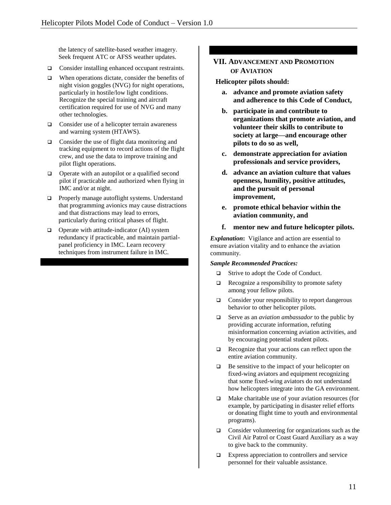the latency of satellite-based weather imagery. Seek frequent ATC or AFSS weather updates.

- □ Consider installing enhanced occupant restraints.
- $\Box$  When operations dictate, consider the benefits of night vision goggles (NVG) for night operations, particularly in hostile/low light conditions. Recognize the special training and aircraft certification required for use of NVG and many other technologies.
- $\Box$  Consider use of a helicopter terrain awareness and warning system (HTAWS).
- $\Box$  Consider the use of flight data monitoring and tracking equipment to record actions of the flight crew, and use the data to improve training and pilot flight operations.
- $\Box$  Operate with an autopilot or a qualified second pilot if practicable and authorized when flying in IMC and/or at night.
- **Properly manage autoflight systems. Understand** that programming avionics may cause distractions and that distractions may lead to errors, particularly during critical phases of flight.
- $\Box$  Operate with attitude-indicator (AI) system redundancy if practicable, and maintain partialpanel proficiency in IMC. Learn recovery techniques from instrument failure in IMC.

# **VII. ADVANCEMENT AND PROMOTION OF AVIATION**

#### **Helicopter pilots should:**

- **a. advance and promote aviation safety and adherence to this Code of Conduct,**
- **b. participate in and contribute to organizations that promote aviation, and volunteer their skills to contribute to society at large—and encourage other pilots to do so as well,**
- **c. demonstrate appreciation for aviation professionals and service providers,**
- **d. advance an aviation culture that values openness, humility, positive attitudes, and the pursuit of personal improvement,**
- **e. promote ethical behavior within the aviation community, and**
- **f. mentor new and future helicopter pilots.**

*Explanation***:** Vigilance and action are essential to ensure aviation vitality and to enhance the aviation community*.*

- □ Strive to adopt the Code of Conduct.
- $\Box$  Recognize a responsibility to promote safety among your fellow pilots.
- $\Box$  Consider your responsibility to report dangerous behavior to other helicopter pilots.
- Serve as an *aviation ambassador* to the public by providing accurate information, refuting misinformation concerning aviation activities, and by encouraging potential student pilots.
- Recognize that your actions can reflect upon the entire aviation community.
- $\Box$  Be sensitive to the impact of your helicopter on fixed-wing aviators and equipment recognizing that some fixed-wing aviators do not understand how helicopters integrate into the GA environment.
- $\Box$  Make charitable use of your aviation resources (for example, by participating in disaster relief efforts or donating flight time to youth and environmental programs).
- **Q** Consider volunteering for organizations such as the Civil Air Patrol or Coast Guard Auxiliary as a way to give back to the community.
- $\Box$  Express appreciation to controllers and service personnel for their valuable assistance.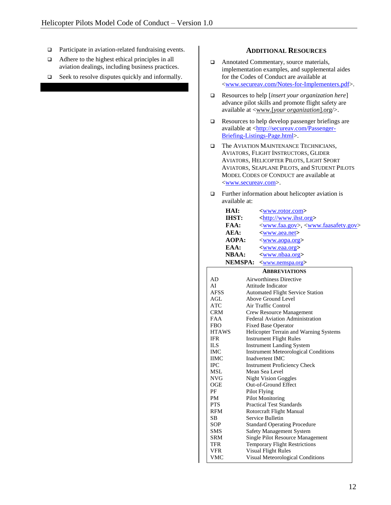- □ Participate in aviation-related fundraising events.
- Adhere to the highest ethical principles in all aviation dealings, including business practices.
- $\Box$  Seek to resolve disputes quickly and informally.

#### **ADDITIONAL RESOURCES**

- Annotated Commentary, source materials, implementation examples, and supplemental aides for the Codes of Conduct are available at [<www.secureav.com/Notes-for-Implementers.pdf>](http://www.secureav.com/Notes-for-Implementers.pdf).
- Resources to help [*insert your organization here*] advance pilot skills and promote flight safety are available at <www.[*your organization*].org/>.
- Resources to help develop passenger briefings are available at [<http://secureav.com/Passenger-](http://secureav.com/Passenger-Briefing-Listings-Page.html)[Briefing-Listings-Page.html>](http://secureav.com/Passenger-Briefing-Listings-Page.html).
- The AVIATION MAINTENANCE TECHNICIANS, AVIATORS, FLIGHT INSTRUCTORS, GLIDER AVIATORS, HELICOPTER PILOTS, LIGHT SPORT AVIATORS, SEAPLANE PILOTS, and STUDENT PILOTS MODEL CODES OF CONDUCT are available at [<www.secureav.com>](http://www.secureav.com/).
- $\Box$  Further information about helicopter aviation is available at:

| HAI:           | <www.rotor.com></www.rotor.com>                                      |
|----------------|----------------------------------------------------------------------|
| <b>IHST:</b>   | <http: www.ihst.org=""></http:>                                      |
| FAA:           | <www.faa.gov>, <www.faasafety.gov></www.faasafety.gov></www.faa.gov> |
| AEA:           |                                                                      |
|                | <www.aea.net></www.aea.net>                                          |
| AOPA:          | < <u>www.aopa.org</u> >                                              |
| EAA:           | <www.eaa.org></www.eaa.org>                                          |
| <b>NBAA:</b>   | <www.nbaa.org></www.nbaa.org>                                        |
| <b>NEMSPA:</b> | <www.nemspa.org></www.nemspa.org>                                    |
|                | <b>ABBREVIATIONS</b>                                                 |
| AD             | Airworthiness Directive                                              |
| AI             | Attitude Indicator                                                   |
| <b>AFSS</b>    | <b>Automated Flight Service Station</b>                              |
| AGL            | Above Ground Level                                                   |
| ATC            | Air Traffic Control                                                  |
| CRM            | <b>Crew Resource Management</b>                                      |
| <b>FAA</b>     | Federal Aviation Administration                                      |
| <b>FBO</b>     | <b>Fixed Base Operator</b>                                           |
| <b>HTAWS</b>   | Helicopter Terrain and Warning Systems                               |
| <b>IFR</b>     | <b>Instrument Flight Rules</b>                                       |
| <b>ILS</b>     | <b>Instrument Landing System</b>                                     |
| <b>IMC</b>     | <b>Instrument Meteorological Conditions</b>                          |
| <b>IIMC</b>    | Inadvertent IMC                                                      |
| <b>IPC</b>     | <b>Instrument Proficiency Check</b>                                  |
| <b>MSL</b>     | Mean Sea Level                                                       |
| <b>NVG</b>     | <b>Night Vision Goggles</b>                                          |
| <b>OGE</b>     | Out-of-Ground Effect                                                 |
| PF             | Pilot Flying                                                         |
| <b>PM</b>      | <b>Pilot Monitoring</b>                                              |
| <b>PTS</b>     | <b>Practical Test Standards</b>                                      |
| <b>RFM</b>     | Rotorcraft Flight Manual                                             |
| <b>SB</b>      | Service Bulletin                                                     |
| <b>SOP</b>     | <b>Standard Operating Procedure</b>                                  |
| <b>SMS</b>     | <b>Safety Management System</b>                                      |
| <b>SRM</b>     | Single Pilot Resource Management                                     |
| TFR            | <b>Temporary Flight Restrictions</b>                                 |
| VFR            | <b>Visual Flight Rules</b>                                           |
| <b>VMC</b>     | Visual Meteorological Conditions                                     |